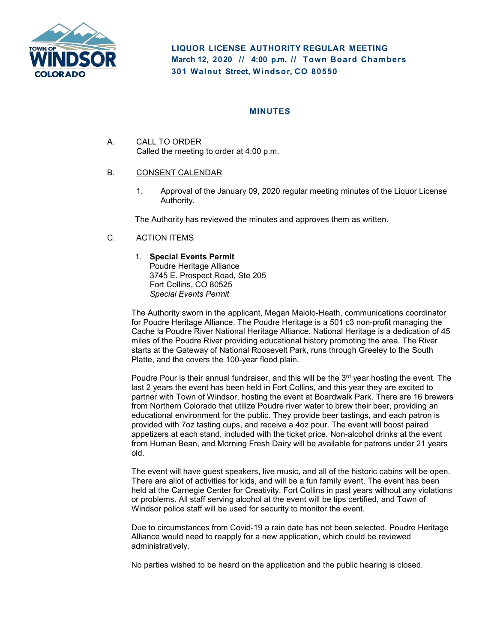

**LIQUOR LICENSE AUTHORITY REGULAR MEETING March 12, 2020 // 4:00 p. m. // Town Board Chambers 301 Walnut Street, Windsor, CO 80550**

# **MINUTES**

A. CALL TO ORDER Called the meeting to order at 4:00 p.m.

## B. CONSENT CALENDAR

1. Approval of the January 09, 2020 regular meeting minutes of the Liquor License Authority.

The Authority has reviewed the minutes and approves them as written.

## C. ACTION ITEMS

#### 1. **Special Events Permit**

Poudre Heritage Alliance 3745 E. Prospect Road, Ste 205 Fort Collins, CO 80525 *Special Events Permit*

The Authority sworn in the applicant, Megan Maiolo-Heath, communications coordinator for Poudre Heritage Alliance. The Poudre Heritage is a 501 c3 non-profit managing the Cache la Poudre River National Heritage Alliance. National Heritage is a dedication of 45 miles of the Poudre River providing educational history promoting the area. The River starts at the Gateway of National Roosevelt Park, runs through Greeley to the South Platte, and the covers the 100-year flood plain.

Poudre Pour is their annual fundraiser, and this will be the  $3<sup>rd</sup>$  year hosting the event. The last 2 years the event has been held in Fort Collins, and this year they are excited to partner with Town of Windsor, hosting the event at Boardwalk Park. There are 16 brewers from Northern Colorado that utilize Poudre river water to brew their beer, providing an educational environment for the public. They provide beer tastings, and each patron is provided with 7oz tasting cups, and receive a 4oz pour. The event will boost paired appetizers at each stand, included with the ticket price. Non-alcohol drinks at the event from Human Bean, and Morning Fresh Dairy will be available for patrons under 21 years old.

The event will have guest speakers, live music, and all of the historic cabins will be open. There are allot of activities for kids, and will be a fun family event. The event has been held at the Carnegie Center for Creativity, Fort Collins in past years without any violations or problems. All staff serving alcohol at the event will be tips certified, and Town of Windsor police staff will be used for security to monitor the event.

Due to circumstances from Covid-19 a rain date has not been selected. Poudre Heritage Alliance would need to reapply for a new application, which could be reviewed administratively.

No parties wished to be heard on the application and the public hearing is closed.